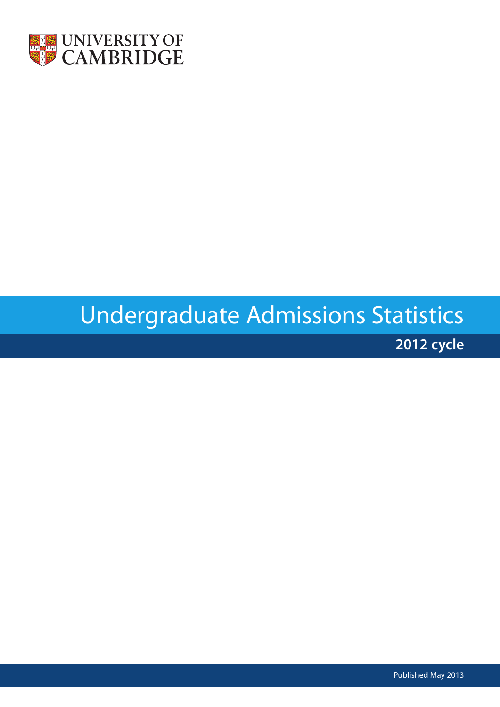

# Undergraduate Admissions Statistics

**2012 cycle**

Published May 2013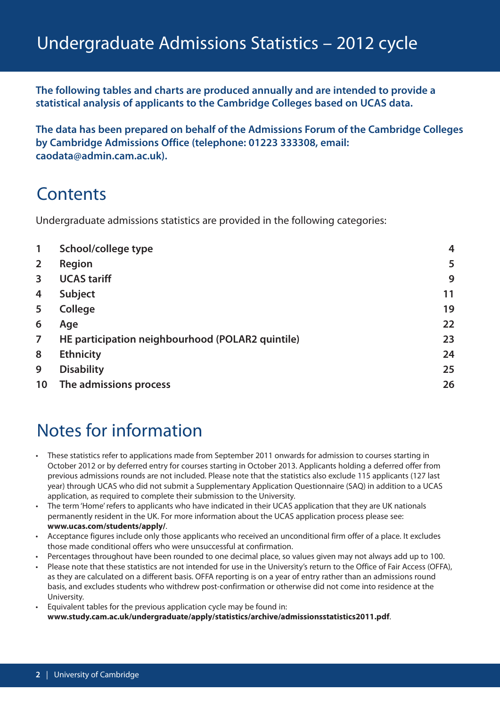**The following tables and charts are produced annually and are intended to provide a statistical analysis of applicants to the Cambridge Colleges based on UCAS data.**

**The data has been prepared on behalf of the Admissions Forum of the Cambridge Colleges by Cambridge Admissions Office (telephone: 01223 333308, email: caodata@admin.cam.ac.uk).**

## **Contents**

Undergraduate admissions statistics are provided in the following categories:

| $\mathbf{1}$   | School/college type                              | $\overline{4}$ |
|----------------|--------------------------------------------------|----------------|
| $\overline{2}$ | Region                                           | 5              |
| 3              | <b>UCAS tariff</b>                               | 9              |
| $\overline{4}$ | <b>Subject</b>                                   | 11             |
| 5              | <b>College</b>                                   | 19             |
| 6              | Age                                              | 22             |
| $\overline{7}$ | HE participation neighbourhood (POLAR2 quintile) | 23             |
| 8              | <b>Ethnicity</b>                                 | 24             |
| 9              | <b>Disability</b>                                | 25             |
| 10             | The admissions process                           | 26             |

## Notes for information

- These statistics refer to applications made from September 2011 onwards for admission to courses starting in October 2012 or by deferred entry for courses starting in October 2013. Applicants holding a deferred offer from previous admissions rounds are not included. Please note that the statistics also exclude 115 applicants (127 last year) through UCAS who did not submit a Supplementary Application Questionnaire (SAQ) in addition to a UCAS application, as required to complete their submission to the University.
- The term 'Home'refers to applicants who have indicated in their UCAS application that they are UK nationals permanently resident in the UK. For more information about the UCAS application process please see: **www.ucas.com/students/apply/**.
- Acceptance figures include only those applicants who received an unconditional firm offer of a place. It excludes those made conditional offers who were unsuccessful at confirmation.
- Percentages throughout have been rounded to one decimal place, so values given may not always add up to 100.
- Please note that these statistics are not intended for use in the University's return to the Office of Fair Access (OFFA), as they are calculated on a different basis. OFFA reporting is on a year of entry rather than an admissions round basis, and excludes students who withdrew post-confirmation or otherwise did not come into residence at the University.
- Equivalent tables for the previous application cycle may be found in: **www.study.cam.ac.uk/undergraduate/apply/statistics/archive/admissionsstatistics2011.pdf**.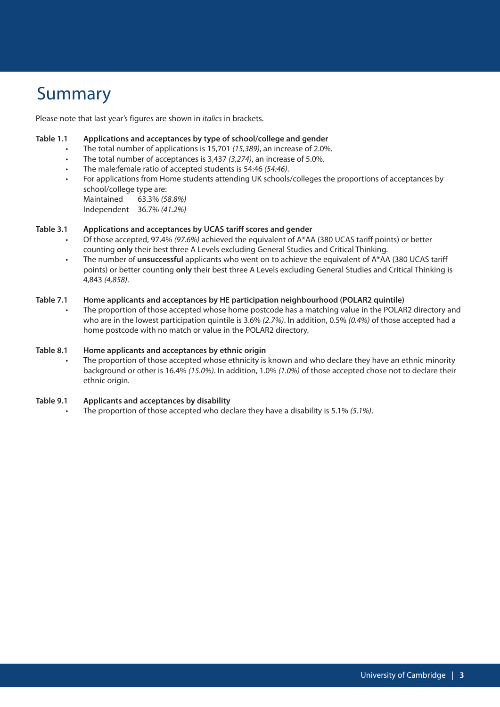## Summary

Please note that last year's figures are shown in *italics* in brackets.

#### **Table 1.1 Applications and acceptances by type of school/college and gender**

- The total number of applications is 15,701 *(15,389)*, an increase of 2.0%.
- The total number of acceptances is 3,437 *(3,274)*, an increase of 5.0%.
- The male:female ratio of accepted students is 54:46 *(54:46)*.
- For applications from Home students attending UK schools/colleges the proportions of acceptances by school/college type are:

Maintained 63.3% *(58.8%)* Independent 36.7% *(41.2%)*

#### **Table 3.1 Applications and acceptances by UCAS tariff scores and gender**

- Of those accepted, 97.4% *(97.6%)* achieved the equivalent of A\*AA (380 UCAS tariff points) or better counting **only** their best three A Levels excluding General Studies and Critical Thinking.
- The number of **unsuccessful** applicants who went on to achieve the equivalent of A\*AA (380 UCAS tariff points) or better counting **only** their best three A Levels excluding General Studies and Critical Thinking is 4,843 *(4,858)*.

#### **Table 7.1 Home applicants and acceptances by HE participation neighbourhood (POLAR2 quintile)**

• The proportion of those accepted whose home postcode has a matching value in the POLAR2 directory and who are in the lowest participation quintile is 3.6% *(2.7%)*. In addition, 0.5% *(0.4%)* of those accepted had a home postcode with no match or value in the POLAR2 directory.

#### **Table 8.1 Home applicants and acceptances by ethnic origin**

The proportion of those accepted whose ethnicity is known and who declare they have an ethnic minority background or other is 16.4% *(15.0%)*. In addition, 1.0% *(1.0%)* of those accepted chose not to declare their ethnic origin.

#### **Table 9.1 Applicants and acceptances by disability**

• The proportion of those accepted who declare they have a disability is 5.1% *(5.1%)*.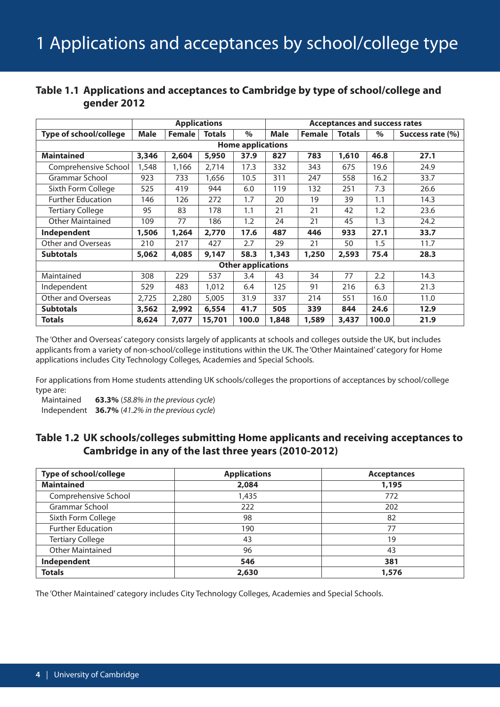|                               |             |               | <b>Applications</b> |                           | <b>Acceptances and success rates</b> |               |               |       |                  |  |  |  |  |
|-------------------------------|-------------|---------------|---------------------|---------------------------|--------------------------------------|---------------|---------------|-------|------------------|--|--|--|--|
| <b>Type of school/college</b> | <b>Male</b> | <b>Female</b> | <b>Totals</b>       | $\%$                      | <b>Male</b>                          | <b>Female</b> | <b>Totals</b> | $\%$  | Success rate (%) |  |  |  |  |
| <b>Home applications</b>      |             |               |                     |                           |                                      |               |               |       |                  |  |  |  |  |
| <b>Maintained</b>             | 3,346       | 2,604         | 5,950               | 37.9                      | 827                                  | 783           | 1,610         | 46.8  | 27.1             |  |  |  |  |
| Comprehensive School          | 1,548       | 1,166         | 2,714               | 17.3                      | 332                                  | 343           | 675           | 19.6  | 24.9             |  |  |  |  |
| Grammar School                | 923         | 733           | 1,656               | 10.5                      | 311                                  | 247           | 558           | 16.2  | 33.7             |  |  |  |  |
| Sixth Form College            | 525         | 419           | 944                 | 6.0                       | 119                                  | 132           | 251           | 7.3   | 26.6             |  |  |  |  |
| <b>Further Education</b>      | 146         | 126           | 272                 | 1.7                       | 20                                   | 19            | 39            | 1.1   | 14.3             |  |  |  |  |
| <b>Tertiary College</b>       | 95          | 83            | 178                 | 1.1                       | 21                                   | 21            | 42            | 1.2   | 23.6             |  |  |  |  |
| <b>Other Maintained</b>       | 109         | 77            | 186                 | 1.2                       | 24                                   | 21            | 45            | 1.3   | 24.2             |  |  |  |  |
| Independent                   | 1,506       | 1,264         | 2,770               | 17.6                      | 487                                  | 446           | 933           | 27.1  | 33.7             |  |  |  |  |
| Other and Overseas            | 210         | 217           | 427                 | 2.7                       | 29                                   | 21            | 50            | 1.5   | 11.7             |  |  |  |  |
| <b>Subtotals</b>              | 5,062       | 4,085         | 9,147               | 58.3                      | 1,343                                | 1,250         | 2,593         | 75.4  | 28.3             |  |  |  |  |
|                               |             |               |                     | <b>Other applications</b> |                                      |               |               |       |                  |  |  |  |  |
| Maintained                    | 308         | 229           | 537                 | 3.4                       | 43                                   | 34            | 77            | 2.2   | 14.3             |  |  |  |  |
| Independent                   | 529         | 483           | 1,012               | 6.4                       | 125                                  | 91            | 216           | 6.3   | 21.3             |  |  |  |  |
| Other and Overseas            | 2,725       | 2,280         | 5,005               | 31.9                      | 337                                  | 214           | 551           | 16.0  | 11.0             |  |  |  |  |
| <b>Subtotals</b>              | 3,562       | 2,992         | 6,554               | 41.7                      | 505                                  | 339           | 844           | 24.6  | 12.9             |  |  |  |  |
| <b>Totals</b>                 | 8,624       | 7,077         | 15,701              | 100.0                     | 1,848                                | 1,589         | 3,437         | 100.0 | 21.9             |  |  |  |  |

## **Table 1.1 Applications and acceptances to Cambridge by type of school/college and gender 2012**

The 'Other and Overseas' category consists largely of applicants at schools and colleges outside the UK, but includes applicants from a variety of non-school/college institutions within the UK. The 'Other Maintained' category for Home applications includes City Technology Colleges, Academies and Special Schools.

For applications from Home students attending UK schools/colleges the proportions of acceptances by school/college type are:

Maintained **63.3%** (*58.8% in the previous cycle*) Independent **36.7%** (*41.2% in the previous cycle*)

## **Table 1.2 UK schools/colleges submitting Home applicants and receiving acceptances to Cambridge in any of the last three years (2010-2012)**

| Type of school/college   | <b>Applications</b> | <b>Acceptances</b> |
|--------------------------|---------------------|--------------------|
| <b>Maintained</b>        | 2,084               | 1,195              |
| Comprehensive School     | 1,435               | 772                |
| Grammar School           | 222                 | 202                |
| Sixth Form College       | 98                  | 82                 |
| <b>Further Education</b> | 190                 | 77                 |
| <b>Tertiary College</b>  | 43                  | 19                 |
| <b>Other Maintained</b>  | 96                  | 43                 |
| Independent              | 546                 | 381                |
| <b>Totals</b>            | 2,630               | 1,576              |

The 'Other Maintained' category includes City Technology Colleges, Academies and Special Schools.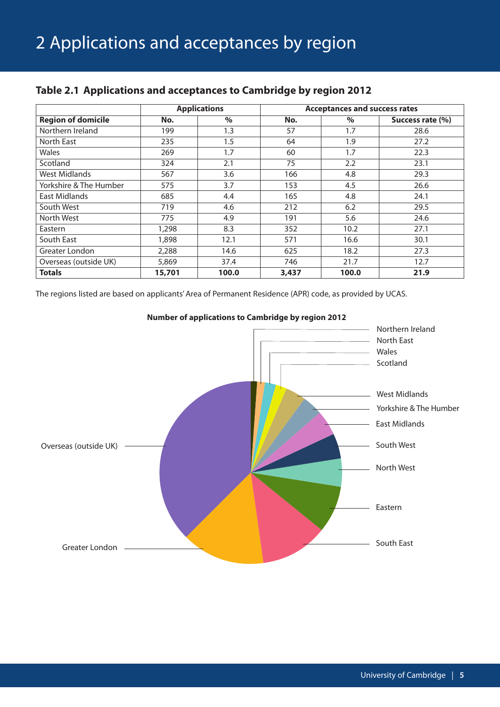|                           |        | <b>Applications</b> | <b>Acceptances and success rates</b> |       |                  |  |
|---------------------------|--------|---------------------|--------------------------------------|-------|------------------|--|
| <b>Region of domicile</b> | No.    | $\%$                | No.                                  | $\%$  | Success rate (%) |  |
| Northern Ireland          | 199    | 1.3                 | 57                                   | 1.7   | 28.6             |  |
| North East                | 235    | 1.5                 | 64                                   | 1.9   | 27.2             |  |
| Wales                     | 269    | 1.7                 | 60                                   | 1.7   | 22.3             |  |
| Scotland                  | 324    | 2.1                 | 75                                   | 2.2   | 23.1             |  |
| West Midlands             | 567    | 3.6                 | 166                                  | 4.8   | 29.3             |  |
| Yorkshire & The Humber    | 575    | 3.7                 | 153                                  | 4.5   | 26.6             |  |
| East Midlands             | 685    | 4.4                 | 165                                  | 4.8   | 24.1             |  |
| South West                | 719    | 4.6                 | 212                                  | 6.2   | 29.5             |  |
| North West                | 775    | 4.9                 | 191                                  | 5.6   | 24.6             |  |
| Eastern                   | 1,298  | 8.3                 | 352                                  | 10.2  | 27.1             |  |
| South East                | 1,898  | 12.1                | 571                                  | 16.6  | 30.1             |  |
| Greater London            | 2,288  | 14.6                | 625                                  | 18.2  | 27.3             |  |
| Overseas (outside UK)     | 5,869  | 37.4                | 746                                  | 21.7  | 12.7             |  |
| <b>Totals</b>             | 15,701 | 100.0               | 3,437                                | 100.0 | 21.9             |  |

## **Table 2.1 Applications and acceptances to Cambridge by region 2012**

The regions listed are based on applicants'Area of Permanent Residence (APR) code, as provided by UCAS.



**Number of applications to Cambridge by region 2012**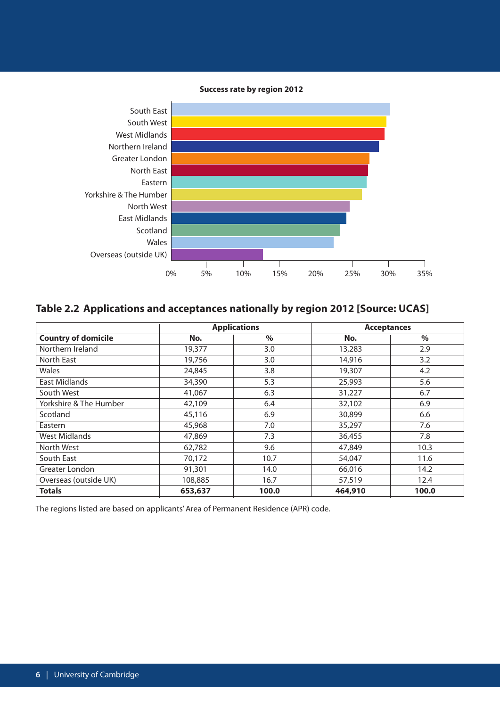#### **Success rate by region 2012**



## **Table 2.2 Applications and acceptances nationally by region 2012 [Source: UCAS]**

|                            | <b>Applications</b> |       | <b>Acceptances</b> |       |  |
|----------------------------|---------------------|-------|--------------------|-------|--|
| <b>Country of domicile</b> | No.                 | $\%$  | No.                | $\%$  |  |
| Northern Ireland           | 19,377              | 3.0   | 13,283             | 2.9   |  |
| North East                 | 19,756              | 3.0   | 14,916             | 3.2   |  |
| Wales                      | 24,845              | 3.8   | 19,307             | 4.2   |  |
| East Midlands              | 34,390              | 5.3   | 25,993             | 5.6   |  |
| South West                 | 41,067              | 6.3   | 31,227             | 6.7   |  |
| Yorkshire & The Humber     | 42,109              | 6.4   | 32,102             | 6.9   |  |
| Scotland                   | 45,116              | 6.9   | 30,899             | 6.6   |  |
| Eastern                    | 45,968              | 7.0   | 35,297             | 7.6   |  |
| <b>West Midlands</b>       | 47,869              | 7.3   | 36,455             | 7.8   |  |
| North West                 | 62,782              | 9.6   | 47,849             | 10.3  |  |
| South East                 | 70,172              | 10.7  | 54,047             | 11.6  |  |
| Greater London             | 91,301              | 14.0  | 66,016             | 14.2  |  |
| Overseas (outside UK)      | 108,885             | 16.7  | 57,519             | 12.4  |  |
| <b>Totals</b>              | 653,637             | 100.0 | 464,910            | 100.0 |  |

The regions listed are based on applicants'Area of Permanent Residence (APR) code.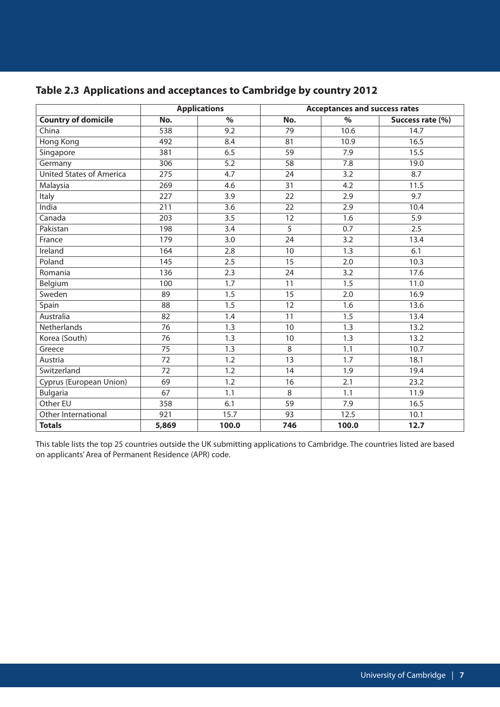|                                 |                 | <b>Applications</b> |       | <b>Acceptances and success rates</b> |                  |
|---------------------------------|-----------------|---------------------|-------|--------------------------------------|------------------|
| <b>Country of domicile</b>      | No.             | $\%$                | No.   | $\frac{9}{6}$                        | Success rate (%) |
| China                           | 538             | 9.2                 | 79    | 10.6                                 | 14.7             |
| Hong Kong                       | 492             | 8.4                 | 81    | 10.9                                 | 16.5             |
| Singapore                       | 381             | 6.5                 | 59    | 7.9                                  | 15.5             |
| Germany                         | 306             | 5.2                 | 58    | 7.8                                  | 19.0             |
| <b>United States of America</b> | 275             | 4.7                 | 24    | 3.2                                  | 8.7              |
| Malaysia                        | 269             | 4.6                 | 31    | 4.2                                  | 11.5             |
| Italy                           | 227             | 3.9                 | 22    | 2.9                                  | 9.7              |
| India                           | 211             | 3.6                 | 22    | 2.9                                  | 10.4             |
| Canada                          | 203             | 3.5                 | 12    | 1.6                                  | 5.9              |
| Pakistan                        | 198             | 3.4                 | 5     | 0.7                                  | 2.5              |
| France                          | 179             | 3.0                 | 24    | 3.2                                  | 13.4             |
| Ireland                         | 164             | 2.8                 | 10    | 1.3                                  | 6.1              |
| Poland                          | 145             | 2.5                 | 15    | 2.0                                  | 10.3             |
| Romania                         | 136             | 2.3                 | 24    | 3.2                                  | 17.6             |
| Belgium                         | 100             | $\overline{1.7}$    | 11    | $\overline{1.5}$                     | 11.0             |
| Sweden                          | 89              | 1.5                 | 15    | 2.0                                  | 16.9             |
| Spain                           | 88              | 1.5                 | 12    | 1.6                                  | 13.6             |
| Australia                       | $\overline{82}$ | 1.4                 | 11    | 1.5                                  | 13.4             |
| Netherlands                     | 76              | 1.3                 | 10    | 1.3                                  | 13.2             |
| Korea (South)                   | 76              | 1.3                 | 10    | 1.3                                  | 13.2             |
| Greece                          | 75              | 1.3                 | $8\,$ | 1.1                                  | 10.7             |
| Austria                         | 72              | 1.2                 | 13    | 1.7                                  | 18.1             |
| Switzerland                     | 72              | 1.2                 | 14    | 1.9                                  | 19.4             |
| Cyprus (European Union)         | 69              | 1.2                 | 16    | 2.1                                  | 23.2             |
| <b>Bulgaria</b>                 | 67              | 1.1                 | 8     | 1.1                                  | 11.9             |
| Other EU                        | 358             | 6.1                 | 59    | 7.9                                  | 16.5             |
| Other International             | 921             | 15.7                | 93    | 12.5                                 | 10.1             |
| <b>Totals</b>                   | 5,869           | 100.0               | 746   | 100.0                                | 12.7             |

## **Table 2.3 Applications and acceptances to Cambridge by country 2012**

This table lists the top 25 countries outside the UK submitting applications to Cambridge. The countries listed are based on applicants'Area of Permanent Residence (APR) code.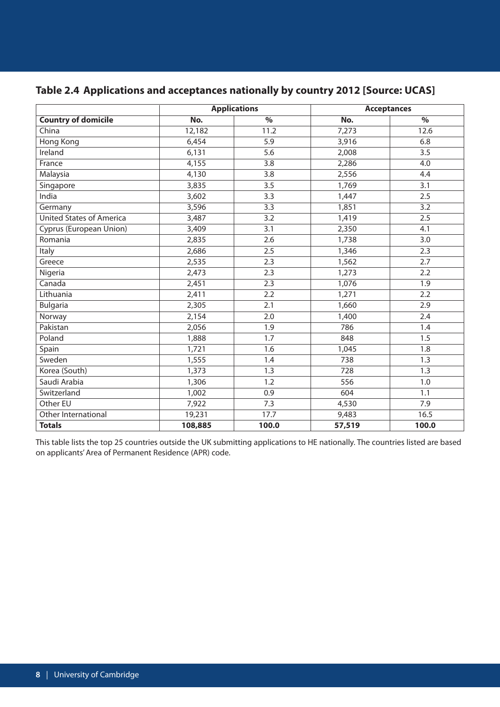|                                 |         | <b>Applications</b> | <b>Acceptances</b> |                  |  |
|---------------------------------|---------|---------------------|--------------------|------------------|--|
| <b>Country of domicile</b>      | No.     | $\%$                | No.                | $\%$             |  |
| China                           | 12,182  | 11.2                | 7,273              | 12.6             |  |
| Hong Kong                       | 6,454   | 5.9                 | 3,916              | 6.8              |  |
| Ireland                         | 6,131   | 5.6                 | 2,008              | 3.5              |  |
| France                          | 4,155   | 3.8                 | 2,286              | 4.0              |  |
| Malaysia                        | 4,130   | 3.8                 | 2,556              | 4.4              |  |
| Singapore                       | 3,835   | 3.5                 | 1,769              | 3.1              |  |
| India                           | 3,602   | 3.3                 | 1,447              | 2.5              |  |
| Germany                         | 3,596   | 3.3                 | 1,851              | 3.2              |  |
| <b>United States of America</b> | 3,487   | 3.2                 | 1,419              | 2.5              |  |
| Cyprus (European Union)         | 3,409   | 3.1                 | 2,350              | 4.1              |  |
| Romania                         | 2,835   | 2.6                 | 1,738              | 3.0              |  |
| Italy                           | 2,686   | 2.5                 | 1,346              | 2.3              |  |
| Greece                          | 2,535   | 2.3                 | 1,562              | 2.7              |  |
| Nigeria                         | 2,473   | 2.3                 | 1,273              | 2.2              |  |
| Canada                          | 2,451   | 2.3                 | 1,076              | $\overline{1.9}$ |  |
| Lithuania                       | 2,411   | 2.2                 | 1,271              | 2.2              |  |
| <b>Bulgaria</b>                 | 2,305   | 2.1                 | 1,660              | 2.9              |  |
| Norway                          | 2,154   | 2.0                 | 1,400              | 2.4              |  |
| Pakistan                        | 2,056   | 1.9                 | 786                | 1.4              |  |
| Poland                          | 1,888   | 1.7                 | 848                | 1.5              |  |
| Spain                           | 1,721   | 1.6                 | 1,045              | 1.8              |  |
| Sweden                          | 1,555   | 1.4                 | 738                | 1.3              |  |
| Korea (South)                   | 1,373   | 1.3                 | 728                | 1.3              |  |
| Saudi Arabia                    | 1,306   | 1.2                 | 556                | 1.0              |  |
| Switzerland                     | 1,002   | 0.9                 | 604                | 1.1              |  |
| Other EU                        | 7,922   | 7.3                 | 4,530              | 7.9              |  |
| Other International             | 19,231  | 17.7                | 9,483              | 16.5             |  |
| <b>Totals</b>                   | 108,885 | 100.0               | 57,519             | 100.0            |  |

## **Table 2.4 Applications and acceptances nationally by country 2012 [Source: UCAS]**

This table lists the top 25 countries outside the UK submitting applications to HE nationally. The countries listed are based on applicants'Area of Permanent Residence (APR) code.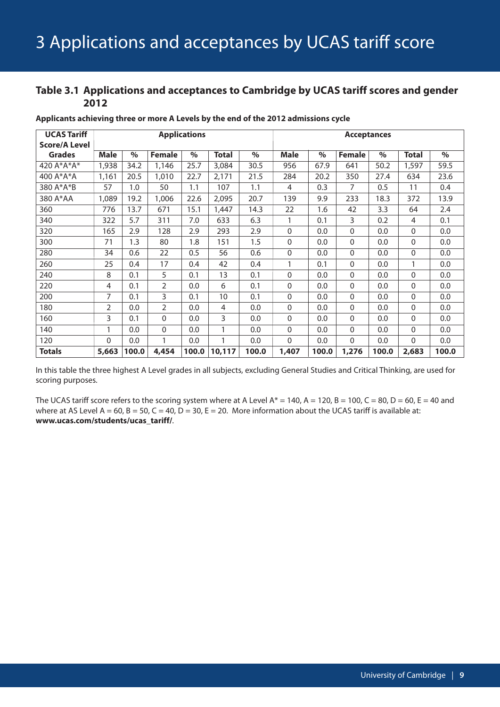## **Table 3.1 Applications and acceptances to Cambridge by UCAS tariff scores and gender**

| <b>UCAS Tariff</b>   |          |       |               | <b>Applications</b> |              |       | <b>Acceptances</b> |       |               |       |                |       |
|----------------------|----------|-------|---------------|---------------------|--------------|-------|--------------------|-------|---------------|-------|----------------|-------|
| <b>Score/A Level</b> |          |       |               |                     |              |       |                    |       |               |       |                |       |
| <b>Grades</b>        | Male     | $\%$  | <b>Female</b> | $\frac{6}{6}$       | <b>Total</b> | $\%$  | <b>Male</b>        | $\%$  | <b>Female</b> | $\%$  | <b>Total</b>   | $\%$  |
| 420 A*A*A*           | 1,938    | 34.2  | 1,146         | 25.7                | 3,084        | 30.5  | 956                | 67.9  | 641           | 50.2  | 1,597          | 59.5  |
| 400 A*A*A            | 1,161    | 20.5  | 1,010         | 22.7                | 2,171        | 21.5  | 284                | 20.2  | 350           | 27.4  | 634            | 23.6  |
| 380 A*A*B            | 57       | 1.0   | 50            | 1.1                 | 107          | 1.1   | 4                  | 0.3   | 7             | 0.5   | 11             | 0.4   |
| 380 A*AA             | 1,089    | 19.2  | 1,006         | 22.6                | 2,095        | 20.7  | 139                | 9.9   | 233           | 18.3  | 372            | 13.9  |
| 360                  | 776      | 13.7  | 671           | 15.1                | 1,447        | 14.3  | 22                 | 1.6   | 42            | 3.3   | 64             | 2.4   |
| 340                  | 322      | 5.7   | 311           | 7.0                 | 633          | 6.3   | 1                  | 0.1   | 3             | 0.2   | $\overline{4}$ | 0.1   |
| 320                  | 165      | 2.9   | 128           | 2.9                 | 293          | 2.9   | $\mathbf 0$        | 0.0   | 0             | 0.0   | $\Omega$       | 0.0   |
| 300                  | 71       | 1.3   | 80            | 1.8                 | 151          | 1.5   | $\mathbf 0$        | 0.0   | 0             | 0.0   | $\mathbf{0}$   | 0.0   |
| 280                  | 34       | 0.6   | 22            | 0.5                 | 56           | 0.6   | 0                  | 0.0   | $\mathbf{0}$  | 0.0   | $\mathbf{0}$   | 0.0   |
| 260                  | 25       | 0.4   | 17            | 0.4                 | 42           | 0.4   | $\mathbf{1}$       | 0.1   | $\mathbf{0}$  | 0.0   | 1              | 0.0   |
| 240                  | 8        | 0.1   | 5             | 0.1                 | 13           | 0.1   | $\mathbf 0$        | 0.0   | $\mathbf{0}$  | 0.0   | $\Omega$       | 0.0   |
| 220                  | 4        | 0.1   | 2             | 0.0                 | 6            | 0.1   | 0                  | 0.0   | $\mathbf{0}$  | 0.0   | $\mathbf{0}$   | 0.0   |
| 200                  | 7        | 0.1   | 3             | 0.1                 | 10           | 0.1   | 0                  | 0.0   | $\Omega$      | 0.0   | $\Omega$       | 0.0   |
| 180                  | 2        | 0.0   | 2             | 0.0                 | 4            | 0.0   | 0                  | 0.0   | $\mathbf{0}$  | 0.0   | $\mathbf{0}$   | 0.0   |
| 160                  | 3        | 0.1   | $\Omega$      | 0.0                 | 3            | 0.0   | 0                  | 0.0   | $\mathbf{0}$  | 0.0   | $\mathbf{0}$   | 0.0   |
| 140                  | 1        | 0.0   | $\Omega$      | 0.0                 | 1            | 0.0   | $\mathbf 0$        | 0.0   | $\mathbf{0}$  | 0.0   | $\Omega$       | 0.0   |
| 120                  | $\Omega$ | 0.0   | 1             | 0.0                 | $\mathbf{1}$ | 0.0   | $\mathbf{0}$       | 0.0   | 0             | 0.0   | $\mathbf{0}$   | 0.0   |
| <b>Totals</b>        | 5,663    | 100.0 | 4,454         | 100.0               | 10,117       | 100.0 | 1,407              | 100.0 | 1,276         | 100.0 | 2,683          | 100.0 |

**Applicants achieving three or more A Levels by the end of the 2012 admissions cycle**

In this table the three highest A Level grades in all subjects, excluding General Studies and Critical Thinking, are used for scoring purposes.

The UCAS tariff score refers to the scoring system where at A Level  $A^* = 140$ ,  $A = 120$ ,  $B = 100$ ,  $C = 80$ ,  $D = 60$ ,  $E = 40$  and where at AS Level A = 60, B = 50, C = 40, D = 30, E = 20. More information about the UCAS tariff is available at: **www.ucas.com/students/ucas\_tariff/**.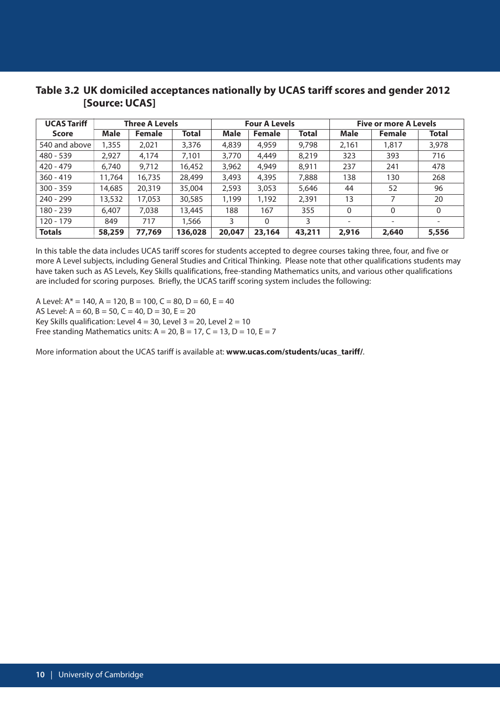## **Table 3.2 UK domiciled acceptances nationally by UCAS tariff scores and gender 2012 [Source: UCAS]**

| <b>UCAS Tariff</b><br><b>Three A Levels</b> |             |               |         | <b>Four A Levels</b> |               | <b>Five or more A Levels</b> |                          |                          |                          |
|---------------------------------------------|-------------|---------------|---------|----------------------|---------------|------------------------------|--------------------------|--------------------------|--------------------------|
| Score                                       | <b>Male</b> | <b>Female</b> | Total   | <b>Male</b>          | <b>Female</b> | <b>Total</b>                 | <b>Male</b>              | <b>Female</b>            | Total                    |
| 540 and above                               | 1,355       | 2,021         | 3,376   | 4,839                | 4,959         | 9,798                        | 2,161                    | 1,817                    | 3,978                    |
| $480 - 539$                                 | 2,927       | 4.174         | 7,101   | 3,770                | 4,449         | 8,219                        | 323                      | 393                      | 716                      |
| $420 - 479$                                 | 6,740       | 9,712         | 16,452  | 3,962                | 4,949         | 8,911                        | 237                      | 241                      | 478                      |
| $360 - 419$                                 | 11.764      | 16,735        | 28,499  | 3,493                | 4,395         | 7,888                        | 138                      | 130                      | 268                      |
| $300 - 359$                                 | 14,685      | 20,319        | 35,004  | 2,593                | 3,053         | 5,646                        | 44                       | 52                       | 96                       |
| $240 - 299$                                 | 13,532      | 17,053        | 30,585  | 1,199                | 1,192         | 2,391                        | 13                       | 7                        | 20                       |
| $180 - 239$                                 | 6,407       | 7,038         | 13,445  | 188                  | 167           | 355                          | $\mathbf{0}$             | $\Omega$                 | 0                        |
| 120 - 179                                   | 849         | 717           | 1,566   | 3                    | $\Omega$      | 3                            | $\overline{\phantom{a}}$ | $\overline{\phantom{a}}$ | $\overline{\phantom{a}}$ |
| <b>Totals</b>                               | 58,259      | 77,769        | 136,028 | 20,047               | 23,164        | 43,211                       | 2,916                    | 2,640                    | 5,556                    |

In this table the data includes UCAS tariff scores for students accepted to degree courses taking three, four, and five or more A Level subjects, including General Studies and Critical Thinking. Please note that other qualifications students may have taken such as AS Levels, Key Skills qualifications, free-standing Mathematics units, and various other qualifications are included for scoring purposes. Briefly, the UCAS tariff scoring system includes the following:

A Level:  $A^* = 140$ ,  $A = 120$ ,  $B = 100$ ,  $C = 80$ ,  $D = 60$ ,  $E = 40$ AS Level:  $A = 60$ ,  $B = 50$ ,  $C = 40$ ,  $D = 30$ ,  $E = 20$ Key Skills qualification: Level  $4 = 30$ , Level  $3 = 20$ , Level  $2 = 10$ Free standing Mathematics units:  $A = 20$ ,  $B = 17$ ,  $C = 13$ ,  $D = 10$ ,  $E = 7$ 

More information about the UCAS tariff is available at: www.ucas.com/students/ucas\_tariff/.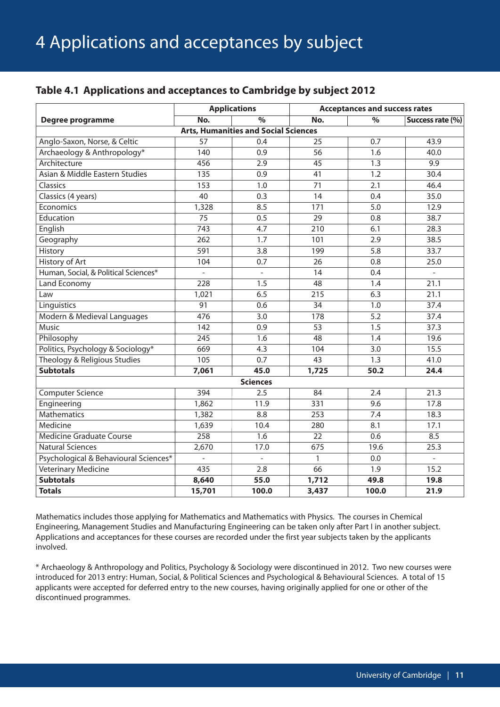## **Table 4.1 Applications and acceptances to Cambridge by subject 2012**

|                                       |                 | <b>Applications</b>                         | <b>Acceptances and success rates</b> |                          |                   |  |
|---------------------------------------|-----------------|---------------------------------------------|--------------------------------------|--------------------------|-------------------|--|
| Degree programme                      | No.             | $\frac{9}{6}$                               | No.                                  | $\overline{\frac{9}{6}}$ | Success rate (%)  |  |
|                                       |                 | <b>Arts, Humanities and Social Sciences</b> |                                      |                          |                   |  |
| Anglo-Saxon, Norse, & Celtic          | 57              | 0.4                                         | 25                                   | 0.7                      | 43.9              |  |
| Archaeology & Anthropology*           | 140             | 0.9                                         | 56                                   | 1.6                      | 40.0              |  |
| Architecture                          | 456             | 2.9                                         | $\overline{45}$                      | $\overline{1.3}$         | 9.9               |  |
| Asian & Middle Eastern Studies        | 135             | 0.9                                         | 41                                   | 1.2                      | 30.4              |  |
| Classics                              | 153             | 1.0                                         | 71                                   | 2.1                      | 46.4              |  |
| Classics (4 years)                    | 40              | 0.3                                         | 14                                   | 0.4                      | 35.0              |  |
| Economics                             | 1,328           | 8.5                                         | 171                                  | 5.0                      | 12.9              |  |
| Education                             | 75              | 0.5                                         | 29                                   | 0.8                      | 38.7              |  |
| English                               | 743             | 4.7                                         | 210                                  | 6.1                      | 28.3              |  |
| Geography                             | 262             | 1.7                                         | 101                                  | 2.9                      | 38.5              |  |
| History                               | 591             | 3.8                                         | 199                                  | 5.8                      | 33.7              |  |
| History of Art                        | 104             | 0.7                                         | 26                                   | 0.8                      | 25.0              |  |
| Human, Social, & Political Sciences*  | $\overline{a}$  | $\overline{a}$                              | 14                                   | 0.4                      | $\overline{a}$    |  |
| Land Economy                          | 228             | 1.5                                         | 48                                   | 1.4                      | 21.1              |  |
| Law                                   | 1,021           | 6.5                                         | 215                                  | 6.3                      | 21.1              |  |
| Linguistics                           | $\overline{91}$ | 0.6                                         | $\overline{34}$                      | $\overline{1.0}$         | 37.4              |  |
| Modern & Medieval Languages           | 476             | 3.0                                         | 178                                  | $\overline{5.2}$         | 37.4              |  |
| <b>Music</b>                          | 142             | 0.9                                         | $\overline{53}$                      | 1.5                      | 37.3              |  |
| Philosophy                            | 245             | 1.6                                         | $\overline{48}$                      | 1.4                      | 19.6              |  |
| Politics, Psychology & Sociology*     | 669             | 4.3                                         | 104                                  | $\overline{3.0}$         | 15.5              |  |
| Theology & Religious Studies          | 105             | 0.7                                         | 43                                   | 1.3                      | 41.0              |  |
| <b>Subtotals</b>                      | 7,061           | 45.0                                        | 1,725                                | 50.2                     | 24.4              |  |
|                                       |                 | <b>Sciences</b>                             |                                      |                          |                   |  |
| <b>Computer Science</b>               | 394             | 2.5                                         | 84                                   | 2.4                      | $\overline{21.3}$ |  |
| Engineering                           | 1,862           | 11.9                                        | 331                                  | 9.6                      | 17.8              |  |
| <b>Mathematics</b>                    | 1,382           | 8.8                                         | 253                                  | 7.4                      | 18.3              |  |
| Medicine                              | 1,639           | 10.4                                        | 280                                  | 8.1                      | 17.1              |  |
| Medicine Graduate Course              | 258             | 1.6                                         | 22                                   | 0.6                      | 8.5               |  |
| <b>Natural Sciences</b>               | 2,670           | 17.0                                        | 675                                  | 19.6                     | 25.3              |  |
| Psychological & Behavioural Sciences* | $\overline{a}$  | $\overline{a}$                              | $\mathbf{1}$                         | 0.0                      | $\overline{a}$    |  |
| Veterinary Medicine                   | 435             | 2.8                                         | 66                                   | 1.9                      | 15.2              |  |
| <b>Subtotals</b>                      | 8,640           | 55.0                                        | 1,712                                | 49.8                     | 19.8              |  |
| <b>Totals</b>                         | 15,701          | 100.0                                       | 3,437                                | 100.0                    | 21.9              |  |

Mathematics includes those applying for Mathematics and Mathematics with Physics. The courses in Chemical Engineering, Management Studies and Manufacturing Engineering can be taken only after Part I in another subject. Applications and acceptances for these courses are recorded under the first year subjects taken by the applicants involved.

\* Archaeology & Anthropology and Politics, Psychology & Sociology were discontinued in 2012. Two new courses were introduced for 2013 entry: Human, Social, & Political Sciences and Psychological & Behavioural Sciences. A total of 15 applicants were accepted for deferred entry to the new courses, having originally applied for one or other of the discontinued programmes.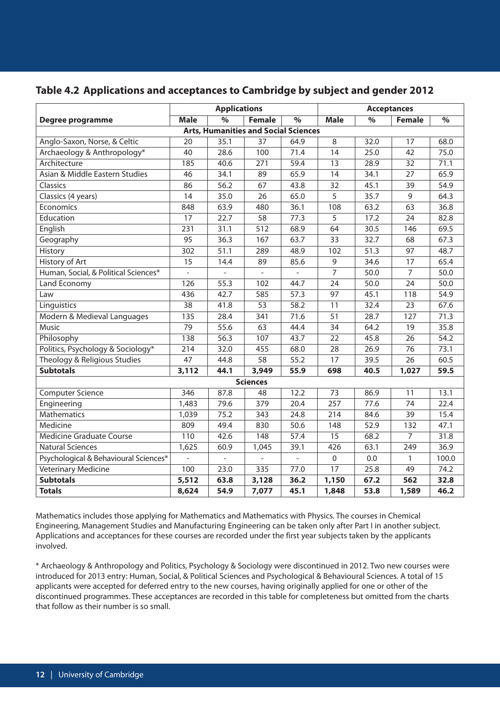## **Table 4.2 Applications and acceptances to Cambridge by subject and gender 2012**

|                                       |                          | <b>Applications</b> |                                             |                          | <b>Acceptances</b> |      |                 |                          |
|---------------------------------------|--------------------------|---------------------|---------------------------------------------|--------------------------|--------------------|------|-----------------|--------------------------|
| Degree programme                      | <b>Male</b>              | $\frac{9}{6}$       | <b>Female</b>                               | $\overline{\frac{9}{6}}$ | <b>Male</b>        | $\%$ | <b>Female</b>   | $\overline{\frac{9}{6}}$ |
|                                       |                          |                     | <b>Arts, Humanities and Social Sciences</b> |                          |                    |      |                 |                          |
| Anglo-Saxon, Norse, & Celtic          | 20                       | 35.1                | 37                                          | 64.9                     | 8                  | 32.0 | 17              | 68.0                     |
| Archaeology & Anthropology*           | 40                       | 28.6                | 100                                         | 71.4                     | 14                 | 25.0 | 42              | 75.0                     |
| Architecture                          | 185                      | 40.6                | 271                                         | 59.4                     | 13                 | 28.9 | 32              | 71.1                     |
| Asian & Middle Eastern Studies        | 46                       | 34.1                | 89                                          | 65.9                     | 14                 | 34.1 | 27              | 65.9                     |
| Classics                              | 86                       | 56.2                | 67                                          | 43.8                     | 32                 | 45.1 | 39              | 54.9                     |
| Classics (4 years)                    | 14                       | 35.0                | 26                                          | 65.0                     | 5                  | 35.7 | 9               | 64.3                     |
| Economics                             | 848                      | 63.9                | 480                                         | 36.1                     | 108                | 63.2 | 63              | 36.8                     |
| Education                             | 17                       | 22.7                | 58                                          | 77.3                     | 5                  | 17.2 | 24              | 82.8                     |
| English                               | 231                      | 31.1                | 512                                         | 68.9                     | 64                 | 30.5 | 146             | 69.5                     |
| Geography                             | 95                       | 36.3                | 167                                         | 63.7                     | 33                 | 32.7 | 68              | 67.3                     |
| History                               | 302                      | 51.1                | 289                                         | 48.9                     | 102                | 51.3 | 97              | 48.7                     |
| History of Art                        | 15                       | 14.4                | 89                                          | 85.6                     | $\mathsf 9$        | 34.6 | 17              | 65.4                     |
| Human, Social, & Political Sciences*  | $\overline{\phantom{a}}$ | $\overline{a}$      | $\frac{1}{2}$                               |                          | 7                  | 50.0 | $\overline{7}$  | 50.0                     |
| Land Economy                          | 126                      | 55.3                | 102                                         | 44.7                     | 24                 | 50.0 | 24              | 50.0                     |
| Law                                   | 436                      | 42.7                | 585                                         | 57.3                     | 97                 | 45.1 | 118             | 54.9                     |
| Linguistics                           | $\overline{38}$          | 41.8                | $\overline{53}$                             | 58.2                     | $\overline{11}$    | 32.4 | $\overline{23}$ | 67.6                     |
| Modern & Medieval Languages           | 135                      | 28.4                | 341                                         | 71.6                     | 51                 | 28.7 | 127             | 71.3                     |
| Music                                 | 79                       | 55.6                | 63                                          | 44.4                     | 34                 | 64.2 | 19              | 35.8                     |
| Philosophy                            | 138                      | 56.3                | 107                                         | 43.7                     | 22                 | 45.8 | 26              | 54.2                     |
| Politics, Psychology & Sociology*     | 214                      | 32.0                | 455                                         | 68.0                     | 28                 | 26.9 | 76              | 73.1                     |
| Theology & Religious Studies          | 47                       | 44.8                | 58                                          | 55.2                     | 17                 | 39.5 | 26              | 60.5                     |
| <b>Subtotals</b>                      | 3,112                    | 44.1                | 3,949                                       | 55.9                     | 698                | 40.5 | 1,027           | 59.5                     |
|                                       |                          |                     | <b>Sciences</b>                             |                          |                    |      |                 |                          |
| <b>Computer Science</b>               | 346                      | 87.8                | 48                                          | 12.2                     | 73                 | 86.9 | 11              | 13.1                     |
| Engineering                           | 1,483                    | 79.6                | 379                                         | 20.4                     | 257                | 77.6 | 74              | 22.4                     |
| <b>Mathematics</b>                    | 1,039                    | 75.2                | 343                                         | 24.8                     | 214                | 84.6 | 39              | 15.4                     |
| Medicine                              | 809                      | 49.4                | 830                                         | 50.6                     | 148                | 52.9 | 132             | 47.1                     |
| <b>Medicine Graduate Course</b>       | 110                      | 42.6                | 148                                         | 57.4                     | $\overline{15}$    | 68.2 | $\overline{7}$  | 31.8                     |
| <b>Natural Sciences</b>               | 1,625                    | 60.9                | 1,045                                       | 39.1                     | 426                | 63.1 | 249             | 36.9                     |
| Psychological & Behavioural Sciences* |                          | $\frac{1}{2}$       |                                             |                          | $\mathbf 0$        | 0.0  | 1               | 100.0                    |
| Veterinary Medicine                   | 100                      | 23.0                | 335                                         | 77.0                     | 17                 | 25.8 | 49              | 74.2                     |
| <b>Subtotals</b>                      | 5,512                    | 63.8                | 3,128                                       | 36.2                     | 1,150              | 67.2 | 562             | 32.8                     |
| <b>Totals</b>                         | 8,624                    | 54.9                | 7,077                                       | 45.1                     | 1,848              | 53.8 | 1,589           | 46.2                     |

Mathematics includes those applying for Mathematics and Mathematics with Physics. The courses in Chemical Engineering, Management Studies and Manufacturing Engineering can be taken only after Part I in another subject. Applications and acceptances for these courses are recorded under the first year subjects taken by the applicants involved.

\* Archaeology & Anthropology and Politics, Psychology & Sociology were discontinued in 2012. Two new courses were introduced for 2013 entry: Human, Social, & Political Sciences and Psychological & Behavioural Sciences. A total of 15 applicants were accepted for deferred entry to the new courses, having originally applied for one or other of the discontinued programmes. These acceptances are recorded in this table for completeness but omitted from the charts that follow as their number is so small.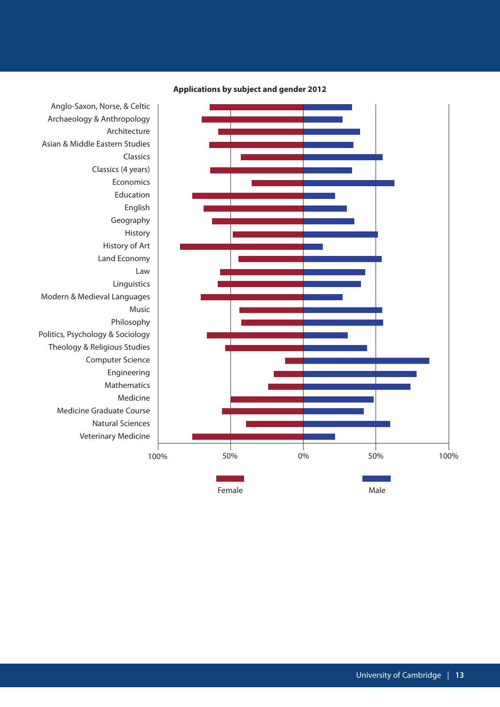

### **Applications by subject and gender 2012**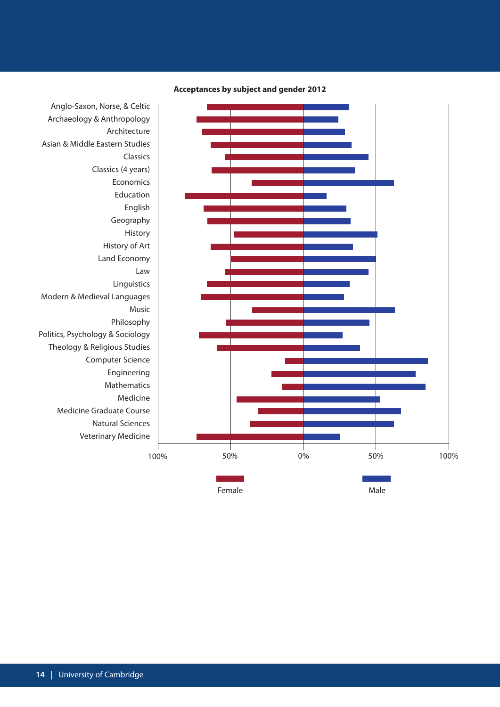

**Acceptances by subject and gender 2012**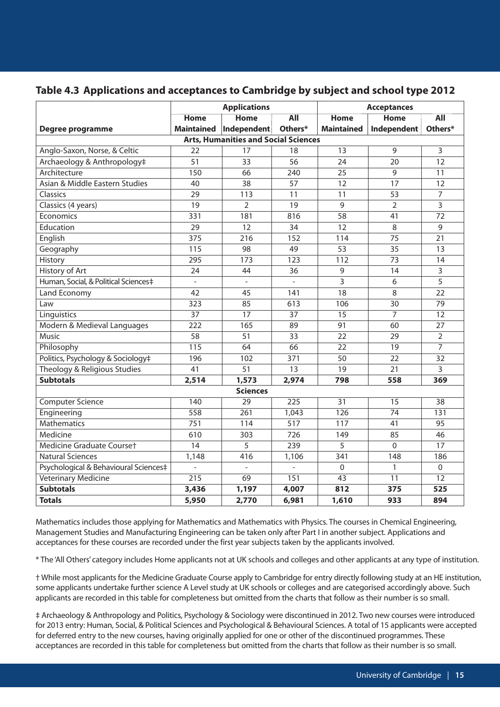## **Table 4.3 Applications and acceptances to Cambridge by subject and school type 2012**

|                                       |                   | <b>Applications</b>                         |                  | <b>Acceptances</b> |                 |                     |  |
|---------------------------------------|-------------------|---------------------------------------------|------------------|--------------------|-----------------|---------------------|--|
|                                       | <b>Home</b>       | <b>Home</b>                                 | $\overline{All}$ | <b>Home</b>        | <b>Home</b>     | <b>All</b>          |  |
| Degree programme                      | <b>Maintained</b> | Independent                                 | Others*          | <b>Maintained</b>  | Independent     | Others*             |  |
|                                       |                   | <b>Arts, Humanities and Social Sciences</b> |                  |                    |                 |                     |  |
| Anglo-Saxon, Norse, & Celtic          | 22                | 17                                          | 18               | 13                 | 9               | 3                   |  |
| Archaeology & Anthropology‡           | 51                | 33                                          | 56               | 24                 | 20              | 12                  |  |
| Architecture                          | 150               | 66                                          | 240              | $\overline{25}$    | $\overline{9}$  | $\overline{11}$     |  |
| Asian & Middle Eastern Studies        | 40                | 38                                          | 57               | 12                 | 17              | 12                  |  |
| Classics                              | 29                | 113                                         | 11               | 11                 | 53              | 7                   |  |
| Classics (4 years)                    | 19                | $\overline{2}$                              | 19               | 9                  | $\overline{2}$  | 3                   |  |
| Economics                             | 331               | 181                                         | 816              | 58                 | 41              | 72                  |  |
| Education                             | 29                | 12                                          | 34               | 12                 | 8               | 9                   |  |
| English                               | 375               | 216                                         | 152              | 114                | 75              | 21                  |  |
| Geography                             | 115               | 98                                          | 49               | 53                 | 35              | 13                  |  |
| History                               | 295               | 173                                         | 123              | 112                | 73              | 14                  |  |
| History of Art                        | 24                | 44                                          | 36               | 9                  | 14              | 3                   |  |
| Human, Social, & Political Sciences‡  | $\overline{a}$    | $\mathbb{L}$                                | $\overline{a}$   | 3                  | 6               | 5                   |  |
| Land Economy                          | 42                | 45                                          | 141              | 18                 | 8               | 22                  |  |
| Law                                   | 323               | 85                                          | 613              | 106                | 30              | $\overline{79}$     |  |
| Linguistics                           | $\overline{37}$   | 17                                          | $\overline{37}$  | $\overline{15}$    | $\overline{7}$  | $\overline{12}$     |  |
| Modern & Medieval Languages           | 222               | 165                                         | 89               | 91                 | 60              | 27                  |  |
| <b>Music</b>                          | 58                | 51                                          | 33               | 22                 | 29              | $\overline{2}$      |  |
| Philosophy                            | 115               | 64                                          | 66               | $\overline{22}$    | $\overline{19}$ | $\overline{7}$      |  |
| Politics, Psychology & Sociology‡     | 196               | 102                                         | 371              | 50                 | 22              | 32                  |  |
| Theology & Religious Studies          | 41                | 51                                          | 13               | 19                 | 21              | 3                   |  |
| <b>Subtotals</b>                      | 2,514             | 1,573                                       | 2,974            | 798                | 558             | 369                 |  |
|                                       |                   | <b>Sciences</b>                             |                  |                    |                 |                     |  |
| <b>Computer Science</b>               | $\overline{140}$  | $\overline{29}$                             | 225              | $\overline{31}$    | $\overline{15}$ | $\overline{38}$     |  |
| Engineering                           | 558               | 261                                         | 1,043            | 126                | 74              | 131                 |  |
| <b>Mathematics</b>                    | 751               | 114                                         | 517              | 117                | 41              | 95                  |  |
| Medicine                              | 610               | 303                                         | 726              | 149                | 85              | 46                  |  |
| Medicine Graduate Courset             | 14                | $\overline{5}$                              | 239              | 5                  | $\mathbf 0$     | 17                  |  |
| <b>Natural Sciences</b>               | 1,148             | 416                                         | 1,106            | 341                | 148             | 186                 |  |
| Psychological & Behavioural Sciences‡ | $\overline{a}$    | $\overline{a}$                              | $\overline{a}$   | $\mathbf 0$        | $\mathbf{1}$    | $\mathsf{O}\xspace$ |  |
| <b>Veterinary Medicine</b>            | $\overline{215}$  | 69                                          | 151              | 43                 | 11              | 12                  |  |
| <b>Subtotals</b>                      | 3,436             | 1,197                                       | 4,007            | 812                | 375             | 525                 |  |
| <b>Totals</b>                         | 5,950             | 2,770                                       | 6,981            | 1,610              | 933             | 894                 |  |

Mathematics includes those applying for Mathematics and Mathematics with Physics. The courses in Chemical Engineering, Management Studies and Manufacturing Engineering can be taken only after Part I in another subject. Applications and acceptances for these courses are recorded under the first year subjects taken by the applicants involved.

\* The 'All Others' category includes Home applicants not at UK schools and colleges and other applicants at any type of institution.

† While most applicants for the Medicine Graduate Course apply to Cambridge for entry directly following study at an HE institution, some applicants undertake further science A Level study at UK schools or colleges and are categorised accordingly above. Such applicants are recorded in this table for completeness but omitted from the charts that follow as their number is so small.

‡ Archaeology & Anthropology and Politics, Psychology & Sociology were discontinued in 2012. Two new courses were introduced for 2013 entry: Human, Social, & Political Sciences and Psychological & Behavioural Sciences. A total of 15 applicants were accepted for deferred entry to the new courses, having originally applied for one or other of the discontinued programmes. These acceptances are recorded in this table for completeness but omitted from the charts that follow as their number is so small.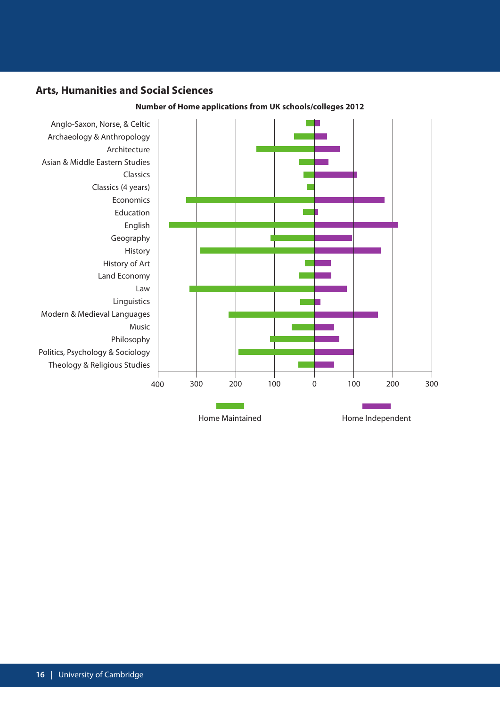### **Arts, Humanities and Social Sciences**



#### **Number of Home applications from UK schools/colleges 2012**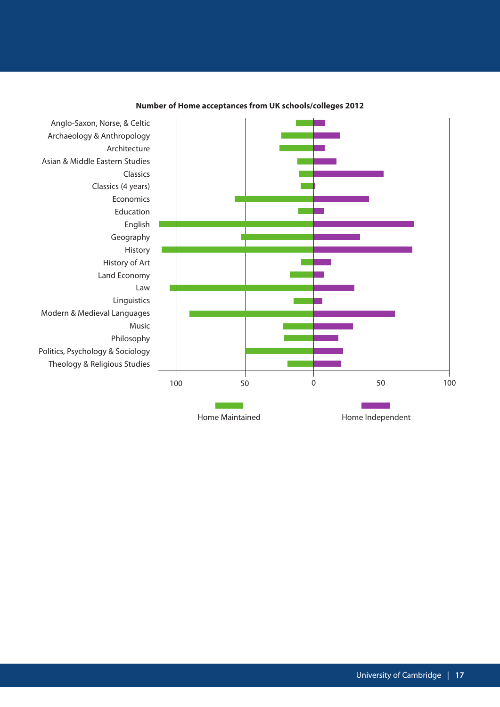

#### **Number of Home acceptances from UK schools/colleges 2012**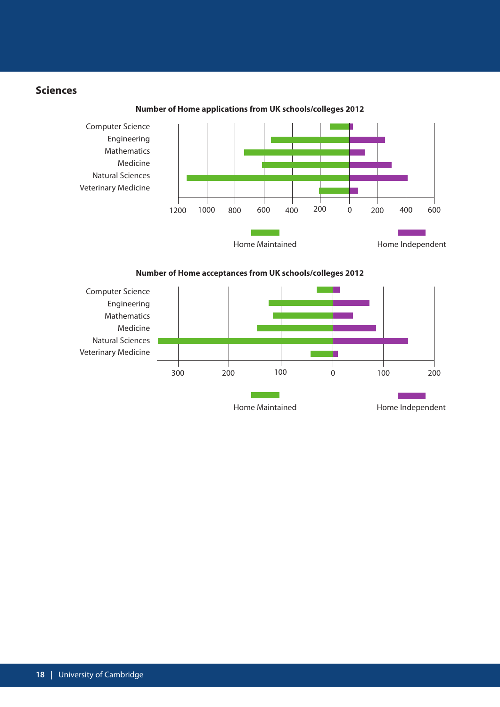## **Sciences**

Computer Science Engineering Mathematics Medicine Natural Sciences Veterinary Medicine 800 600 400 200 200 1200 1000 800 600 400 200 0 200 400 600 **Contract Contract** Home Maintained **Home Independent** 





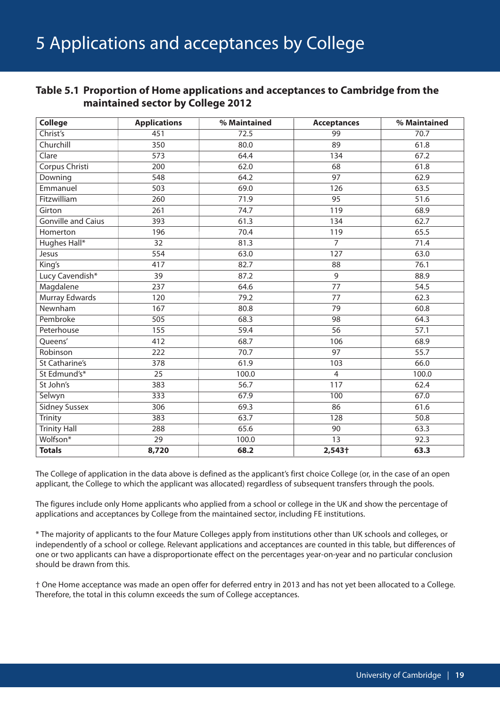## **Table 5.1 Proportion of Home applications and acceptances to Cambridge from the maintained sector by College 2012**

| <b>College</b>            | <b>Applications</b> | % Maintained | <b>Acceptances</b> | % Maintained |
|---------------------------|---------------------|--------------|--------------------|--------------|
| Christ's                  | 451                 | 72.5         | 99                 | 70.7         |
| Churchill                 | 350                 | 80.0         | 89                 | 61.8         |
| Clare                     | 573                 | 64.4         | 134                | 67.2         |
| Corpus Christi            | 200                 | 62.0         | 68                 | 61.8         |
| Downing                   | 548                 | 64.2         | 97                 | 62.9         |
| Emmanuel                  | 503                 | 69.0         | 126                | 63.5         |
| Fitzwilliam               | 260                 | 71.9         | 95                 | 51.6         |
| Girton                    | 261                 | 74.7         | 119                | 68.9         |
| <b>Gonville and Caius</b> | 393                 | 61.3         | 134                | 62.7         |
| Homerton                  | 196                 | 70.4         | 119                | 65.5         |
| Hughes Hall*              | 32                  | 81.3         | $\overline{7}$     | 71.4         |
| Jesus                     | 554                 | 63.0         | 127                | 63.0         |
| King's                    | 417                 | 82.7         | 88                 | 76.1         |
| Lucy Cavendish*           | 39                  | 87.2         | 9                  | 88.9         |
| Magdalene                 | 237                 | 64.6         | 77                 | 54.5         |
| Murray Edwards            | 120                 | 79.2         | 77                 | 62.3         |
| Newnham                   | 167                 | 80.8         | 79                 | 60.8         |
| Pembroke                  | $\overline{505}$    | 68.3         | $\overline{98}$    | 64.3         |
| Peterhouse                | 155                 | 59.4         | 56                 | 57.1         |
| Queens'                   | 412                 | 68.7         | 106                | 68.9         |
| Robinson                  | $\overline{222}$    | 70.7         | $\overline{97}$    | 55.7         |
| St Catharine's            | 378                 | 61.9         | 103                | 66.0         |
| St Edmund's*              | $\overline{25}$     | 100.0        | $\overline{4}$     | 100.0        |
| St John's                 | 383                 | 56.7         | 117                | 62.4         |
| Selwyn                    | 333                 | 67.9         | 100                | 67.0         |
| <b>Sidney Sussex</b>      | 306                 | 69.3         | 86                 | 61.6         |
| <b>Trinity</b>            | 383                 | 63.7         | 128                | 50.8         |
| <b>Trinity Hall</b>       | 288                 | 65.6         | 90                 | 63.3         |
| Wolfson*                  | 29                  | 100.0        | 13                 | 92.3         |
| <b>Totals</b>             | 8,720               | 68.2         | 2,543†             | 63.3         |

The College of application in the data above is defined as the applicant's first choice College (or, in the case of an open applicant, the College to which the applicant was allocated) regardless of subsequent transfers through the pools.

The figures include only Home applicants who applied from a school or college in the UK and show the percentage of applications and acceptances by College from the maintained sector, including FE institutions.

\* The majority of applicants to the four Mature Colleges apply from institutions other than UK schools and colleges, or independently of a school or college. Relevant applications and acceptances are counted in this table, but differences of one or two applicants can have a disproportionate effect on the percentages year-on-year and no particular conclusion should be drawn from this.

† One Home acceptance was made an open offer for deferred entry in 2013 and has not yet been allocated to a College. Therefore, the total in this column exceeds the sum of College acceptances.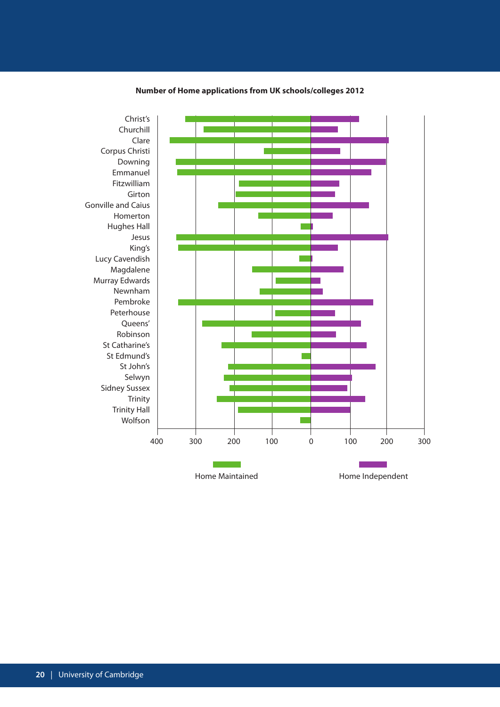

#### **Number of Home applications from UK schools/colleges 2012**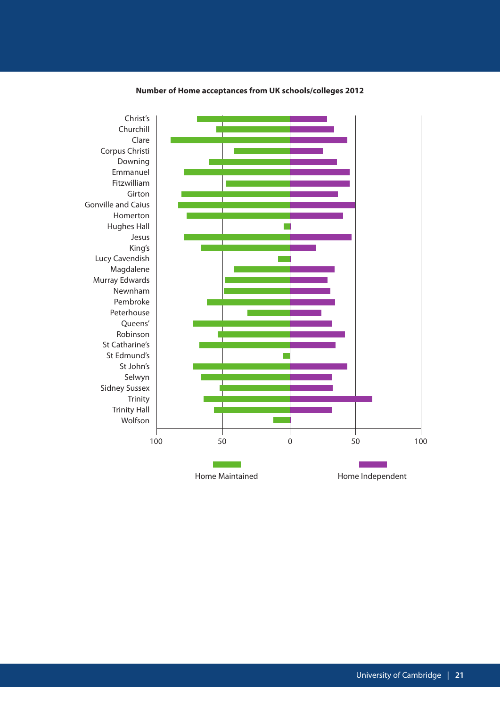

#### **Number of Home acceptances from UK schools/colleges 2012**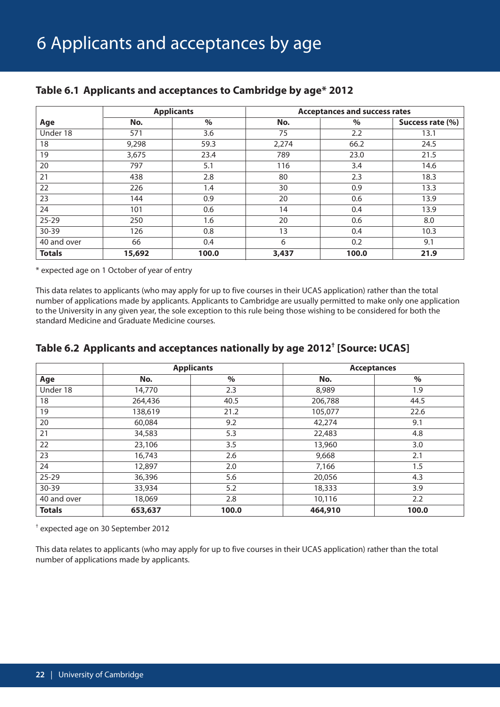|               |        | <b>Applicants</b> | <b>Acceptances and success rates</b> |       |                  |  |
|---------------|--------|-------------------|--------------------------------------|-------|------------------|--|
| Age           | No.    | $\%$              | No.                                  | $\%$  | Success rate (%) |  |
| Under 18      | 571    | 3.6               | 75                                   | 2.2   | 13.1             |  |
| 18            | 9,298  | 59.3              | 2,274                                | 66.2  | 24.5             |  |
| 19            | 3,675  | 23.4              | 789                                  | 23.0  | 21.5             |  |
| 20            | 797    | 5.1               | 116                                  | 3.4   | 14.6             |  |
| 21            | 438    | 2.8               | 80                                   | 2.3   | 18.3             |  |
| 22            | 226    | 1.4               | 30                                   | 0.9   | 13.3             |  |
| 23            | 144    | 0.9               | 20                                   | 0.6   | 13.9             |  |
| 24            | 101    | 0.6               | 14                                   | 0.4   | 13.9             |  |
| $25 - 29$     | 250    | 1.6               | 20                                   | 0.6   | 8.0              |  |
| 30-39         | 126    | 0.8               | 13                                   | 0.4   | 10.3             |  |
| 40 and over   | 66     | 0.4               | 6                                    | 0.2   | 9.1              |  |
| <b>Totals</b> | 15,692 | 100.0             | 3,437                                | 100.0 | 21.9             |  |

## **Table 6.1 Applicants and acceptances to Cambridge by age\* 2012**

\* expected age on 1 October of year of entry

This data relates to applicants (who may apply for up to five courses in their UCAS application) rather than the total number of applications made by applicants. Applicants to Cambridge are usually permitted to make only one application to the University in any given year, the sole exception to this rule being those wishing to be considered for both the standard Medicine and Graduate Medicine courses.

## **Table 6.2 Applicants and acceptances nationally by age 2012† [Source: UCAS]**

|               |         | <b>Applicants</b> |         | <b>Acceptances</b> |
|---------------|---------|-------------------|---------|--------------------|
| Age           | No.     | $\%$              | No.     | $\%$               |
| Under 18      | 14,770  | 2.3               | 8,989   | 1.9                |
| 18            | 264,436 | 40.5              | 206,788 | 44.5               |
| 19            | 138,619 | 21.2              | 105,077 | 22.6               |
| 20            | 60,084  | 9.2               | 42,274  | 9.1                |
| 21            | 34,583  | 5.3               | 22,483  | 4.8                |
| 22            | 23,106  | 3.5               | 13,960  | 3.0                |
| 23            | 16,743  | 2.6               | 9,668   | 2.1                |
| 24            | 12,897  | 2.0               | 7,166   | 1.5                |
| $25 - 29$     | 36,396  | 5.6               | 20,056  | 4.3                |
| 30-39         | 33,934  | 5.2               | 18,333  | 3.9                |
| 40 and over   | 18,069  | 2.8               | 10,116  | 2.2                |
| <b>Totals</b> | 653,637 | 100.0             | 464,910 | 100.0              |

† expected age on 30 September 2012

This data relates to applicants (who may apply for up to five courses in their UCAS application) rather than the total number of applications made by applicants.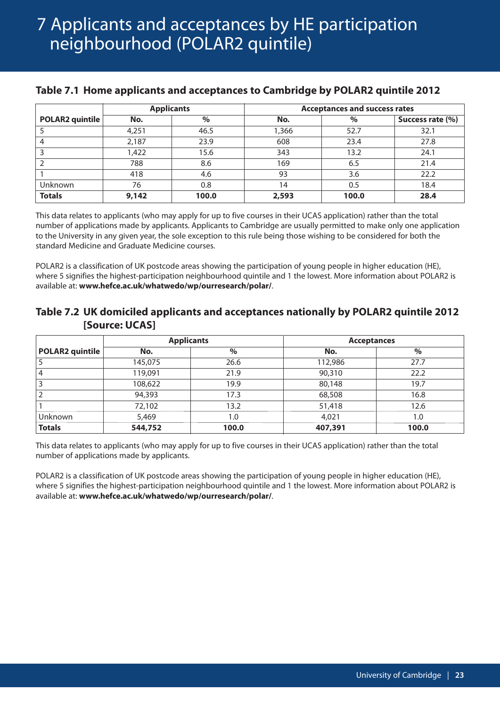## 7 Applicants and acceptances by HE participation neighbourhood (POLAR2 quintile)

#### **Applicants Acceptances and success rates POLAR2 quintile No. % No. % Success rate (%)** 5 4,251 46.5 1,366 52.7 32.1 4 2,187 23.9 608 23.4 27.8 3 1,422 15.6 343 13.2 24.1 2 788 8.6 169 6.5 21.4 1 418 4.6 93 3.6 22.2 Unknown | 76 | 0.8 | 14 | 0.5 | 18.4 **Totals 9,142 100.0 2,593 100.0 28.4**

## **Table 7.1 Home applicants and acceptances to Cambridge by POLAR2 quintile 2012**

This data relates to applicants (who may apply for up to five courses in their UCAS application) rather than the total number of applications made by applicants. Applicants to Cambridge are usually permitted to make only one application to the University in any given year, the sole exception to this rule being those wishing to be considered for both the standard Medicine and Graduate Medicine courses.

POLAR2 is a classification of UK postcode areas showing the participation of young people in higher education (HE), where 5 signifies the highest-participation neighbourhood quintile and 1 the lowest. More information about POLAR2 is available at: **www.hefce.ac.uk/whatwedo/wp/ourresearch/polar/**.

## **Table 7.2 UK domiciled applicants and acceptances nationally by POLAR2 quintile 2012 [Source: UCAS]**

|                 |         | <b>Applicants</b> | <b>Acceptances</b> |       |  |  |
|-----------------|---------|-------------------|--------------------|-------|--|--|
| POLAR2 quintile | No.     | $\%$              | No.                | $\%$  |  |  |
|                 | 145,075 | 26.6              | 112,986            | 27.7  |  |  |
| 4               | 119,091 | 21.9              | 90,310             | 22.2  |  |  |
| 3               | 108,622 | 19.9              | 80,148             | 19.7  |  |  |
|                 | 94,393  | 17.3              | 68,508             | 16.8  |  |  |
|                 | 72,102  | 13.2              | 51,418             | 12.6  |  |  |
| Unknown         | 5,469   | 1.0               | 4,021              | 1.0   |  |  |
| <b>Totals</b>   | 544,752 | 100.0             | 407,391            | 100.0 |  |  |

This data relates to applicants (who may apply for up to five courses in their UCAS application) rather than the total number of applications made by applicants.

POLAR2 is a classification of UK postcode areas showing the participation of young people in higher education (HE), where 5 signifies the highest-participation neighbourhood quintile and 1 the lowest. More information about POLAR2 is available at: **www.hefce.ac.uk/whatwedo/wp/ourresearch/polar/**.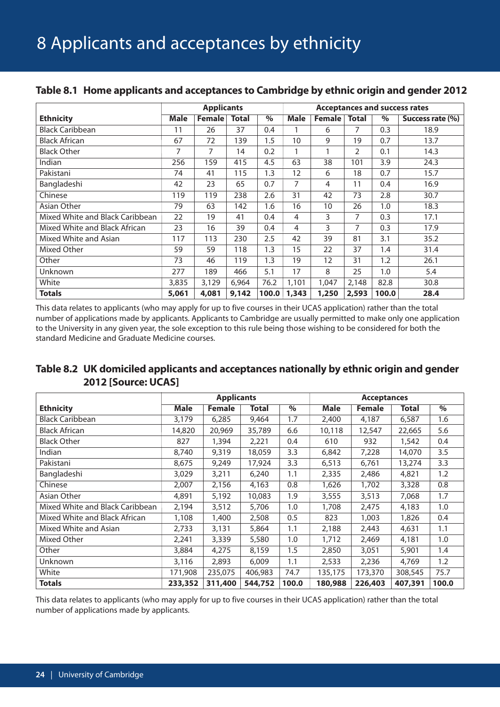|                                 | <b>Applicants</b> |               |              |       | <b>Acceptances and success rates</b> |                |              |       |                  |
|---------------------------------|-------------------|---------------|--------------|-------|--------------------------------------|----------------|--------------|-------|------------------|
| <b>Ethnicity</b>                | <b>Male</b>       | <b>Female</b> | <b>Total</b> | $\%$  | <b>Male</b>                          | <b>Female</b>  | <b>Total</b> | $\%$  | Success rate (%) |
| <b>Black Caribbean</b>          | 11                | 26            | 37           | 0.4   |                                      | 6              | 7            | 0.3   | 18.9             |
| <b>Black African</b>            | 67                | 72            | 139          | 1.5   | 10                                   | 9              | 19           | 0.7   | 13.7             |
| <b>Black Other</b>              | 7                 | 7             | 14           | 0.2   | $\mathbf{1}$                         | 1              | 2            | 0.1   | 14.3             |
| Indian                          | 256               | 159           | 415          | 4.5   | 63                                   | 38             | 101          | 3.9   | 24.3             |
| Pakistani                       | 74                | 41            | 115          | 1.3   | 12                                   | 6              | 18           | 0.7   | 15.7             |
| Bangladeshi                     | 42                | 23            | 65           | 0.7   | 7                                    | $\overline{4}$ | 11           | 0.4   | 16.9             |
| Chinese                         | 119               | 119           | 238          | 2.6   | 31                                   | 42             | 73           | 2.8   | 30.7             |
| Asian Other                     | 79                | 63            | 142          | 1.6   | 16                                   | 10             | 26           | 1.0   | 18.3             |
| Mixed White and Black Caribbean | 22                | 19            | 41           | 0.4   | 4                                    | 3              | 7            | 0.3   | 17.1             |
| Mixed White and Black African   | 23                | 16            | 39           | 0.4   | 4                                    | 3              | 7            | 0.3   | 17.9             |
| Mixed White and Asian           | 117               | 113           | 230          | 2.5   | 42                                   | 39             | 81           | 3.1   | 35.2             |
| Mixed Other                     | 59                | 59            | 118          | 1.3   | 15                                   | 22             | 37           | 1.4   | 31.4             |
| Other                           | 73                | 46            | 119          | 1.3   | 19                                   | 12             | 31           | 1.2   | 26.1             |
| <b>Unknown</b>                  | 277               | 189           | 466          | 5.1   | 17                                   | 8              | 25           | 1.0   | 5.4              |
| White                           | 3,835             | 3,129         | 6,964        | 76.2  | 1,101                                | 1,047          | 2,148        | 82.8  | 30.8             |
| <b>Totals</b>                   | 5,061             | 4,081         | 9,142        | 100.0 | 1,343                                | 1,250          | 2,593        | 100.0 | 28.4             |

## **Table 8.1 Home applicants and acceptances to Cambridge by ethnic origin and gender 2012**

This data relates to applicants (who may apply for up to five courses in their UCAS application) rather than the total number of applications made by applicants. Applicants to Cambridge are usually permitted to make only one application to the University in any given year, the sole exception to this rule being those wishing to be considered for both the standard Medicine and Graduate Medicine courses.

## **Table 8.2 UK domiciled applicants and acceptances nationally by ethnic origin and gender 2012 [Source: UCAS]**

|                                 | <b>Applicants</b> |               |              | <b>Acceptances</b> |             |               |         |       |
|---------------------------------|-------------------|---------------|--------------|--------------------|-------------|---------------|---------|-------|
| <b>Ethnicity</b>                | <b>Male</b>       | <b>Female</b> | <b>Total</b> | $\%$               | <b>Male</b> | <b>Female</b> | Total   | $\%$  |
| <b>Black Caribbean</b>          | 3,179             | 6,285         | 9,464        | 1.7                | 2,400       | 4,187         | 6,587   | 1.6   |
| <b>Black African</b>            | 14,820            | 20,969        | 35,789       | 6.6                | 10,118      | 12,547        | 22,665  | 5.6   |
| <b>Black Other</b>              | 827               | 1,394         | 2,221        | 0.4                | 610         | 932           | 1,542   | 0.4   |
| Indian                          | 8,740             | 9,319         | 18,059       | 3.3                | 6,842       | 7,228         | 14,070  | 3.5   |
| Pakistani                       | 8,675             | 9,249         | 17,924       | 3.3                | 6,513       | 6,761         | 13,274  | 3.3   |
| Bangladeshi                     | 3,029             | 3,211         | 6,240        | 1.1                | 2,335       | 2,486         | 4,821   | 1.2   |
| Chinese                         | 2,007             | 2,156         | 4,163        | 0.8                | 1,626       | 1,702         | 3,328   | 0.8   |
| Asian Other                     | 4,891             | 5,192         | 10,083       | 1.9                | 3,555       | 3,513         | 7,068   | 1.7   |
| Mixed White and Black Caribbean | 2,194             | 3,512         | 5,706        | 1.0                | 1,708       | 2,475         | 4,183   | 1.0   |
| Mixed White and Black African   | 1,108             | 1,400         | 2,508        | 0.5                | 823         | 1,003         | 1,826   | 0.4   |
| Mixed White and Asian           | 2,733             | 3,131         | 5,864        | 1.1                | 2,188       | 2,443         | 4,631   | 1.1   |
| Mixed Other                     | 2,241             | 3,339         | 5,580        | 1.0                | 1,712       | 2,469         | 4,181   | 1.0   |
| Other                           | 3,884             | 4,275         | 8,159        | 1.5                | 2,850       | 3,051         | 5,901   | 1.4   |
| <b>Unknown</b>                  | 3,116             | 2,893         | 6,009        | 1.1                | 2,533       | 2,236         | 4,769   | 1.2   |
| White                           | 171,908           | 235,075       | 406,983      | 74.7               | 135,175     | 173,370       | 308,545 | 75.7  |
| <b>Totals</b>                   | 233,352           | 311,400       | 544,752      | 100.0              | 180,988     | 226,403       | 407,391 | 100.0 |

This data relates to applicants (who may apply for up to five courses in their UCAS application) rather than the total number of applications made by applicants.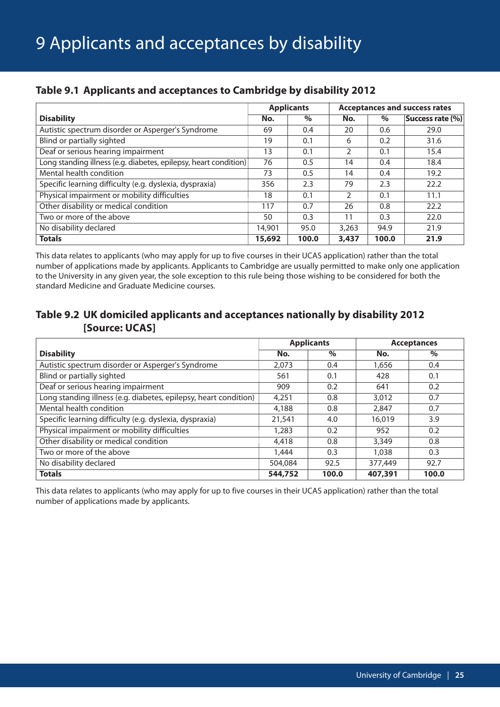|                                                                  |        | <b>Applicants</b> | <b>Acceptances and success rates</b> |       |                  |  |
|------------------------------------------------------------------|--------|-------------------|--------------------------------------|-------|------------------|--|
| <b>Disability</b>                                                | No.    | $\%$              | No.                                  | $\%$  | Success rate (%) |  |
| Autistic spectrum disorder or Asperger's Syndrome                | 69     | 0.4               | 20                                   | 0.6   | 29.0             |  |
| Blind or partially sighted                                       | 19     | 0.1               | 6                                    | 0.2   | 31.6             |  |
| Deaf or serious hearing impairment                               | 13     | 0.1               | C                                    | 0.1   | 15.4             |  |
| Long standing illness (e.g. diabetes, epilepsy, heart condition) | 76     | 0.5               | 14                                   | 0.4   | 18.4             |  |
| Mental health condition                                          | 73     | 0.5               | 14                                   | 0.4   | 19.2             |  |
| Specific learning difficulty (e.g. dyslexia, dyspraxia)          | 356    | 2.3               | 79                                   | 2.3   | 22.2             |  |
| Physical impairment or mobility difficulties                     | 18     | 0.1               | $\mathcal{P}$                        | 0.1   | 11.1             |  |
| Other disability or medical condition                            | 117    | 0.7               | 26                                   | 0.8   | 22.2             |  |
| Two or more of the above                                         | 50     | 0.3               | 11                                   | 0.3   | 22.0             |  |
| No disability declared                                           | 14,901 | 95.0              | 3.263                                | 94.9  | 21.9             |  |
| <b>Totals</b>                                                    | 15,692 | 100.0             | 3,437                                | 100.0 | 21.9             |  |

## **Table 9.1 Applicants and acceptances to Cambridge by disability 2012**

This data relates to applicants (who may apply for up to five courses in their UCAS application) rather than the total number of applications made by applicants. Applicants to Cambridge are usually permitted to make only one application to the University in any given year, the sole exception to this rule being those wishing to be considered for both the standard Medicine and Graduate Medicine courses.

## **Table 9.2 UK domiciled applicants and acceptances nationally by disability 2012 [Source: UCAS]**

|                                                                  |         | <b>Applicants</b> |         | <b>Acceptances</b> |
|------------------------------------------------------------------|---------|-------------------|---------|--------------------|
| <b>Disability</b>                                                | No.     | $\%$              | No.     | $\%$               |
| Autistic spectrum disorder or Asperger's Syndrome                | 2.073   | 0.4               | 1,656   | 0.4                |
| Blind or partially sighted                                       | 561     | 0.1               | 428     | 0.1                |
| Deaf or serious hearing impairment                               | 909     | 0.2               | 641     | 0.2                |
| Long standing illness (e.g. diabetes, epilepsy, heart condition) | 4,251   | 0.8               | 3,012   | 0.7                |
| Mental health condition                                          | 4,188   | 0.8               | 2.847   | 0.7                |
| Specific learning difficulty (e.g. dyslexia, dyspraxia)          | 21,541  | 4.0               | 16,019  | 3.9                |
| Physical impairment or mobility difficulties                     | 1,283   | 0.2               | 952     | 0.2                |
| Other disability or medical condition                            | 4,418   | 0.8               | 3,349   | 0.8                |
| Two or more of the above                                         | 1,444   | 0.3               | 1,038   | 0.3                |
| No disability declared                                           | 504,084 | 92.5              | 377,449 | 92.7               |
| <b>Totals</b>                                                    | 544,752 | 100.0             | 407,391 | 100.0              |

This data relates to applicants (who may apply for up to five courses in their UCAS application) rather than the total number of applications made by applicants.